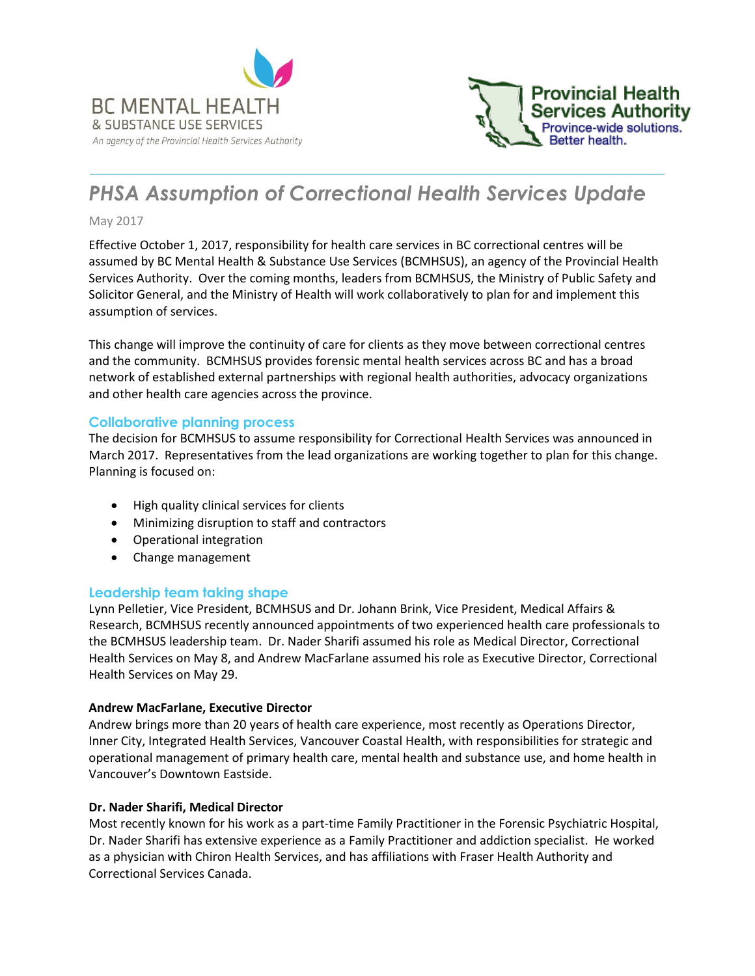



# *PHSA Assumption of Correctional Health Services Update*

#### May 2017

Effective October 1, 2017, responsibility for health care services in BC correctional centres will be assumed by BC Mental Health & Substance Use Services (BCMHSUS), an agency of the Provincial Health Services Authority. Over the coming months, leaders from BCMHSUS, the Ministry of Public Safety and Solicitor General, and the Ministry of Health will work collaboratively to plan for and implement this assumption of services.

This change will improve the continuity of care for clients as they move between correctional centres and the community. BCMHSUS provides forensic mental health services across BC and has a broad network of established external partnerships with regional health authorities, advocacy organizations and other health care agencies across the province.

### **Collaborative planning process**

The decision for BCMHSUS to assume responsibility for Correctional Health Services was announced in March 2017. Representatives from the lead organizations are working together to plan for this change. Planning is focused on:

- High quality clinical services for clients
- Minimizing disruption to staff and contractors
- Operational integration
- Change management

### **Leadership team taking shape**

Lynn Pelletier, Vice President, BCMHSUS and Dr. Johann Brink, Vice President, Medical Affairs & Research, BCMHSUS recently announced appointments of two experienced health care professionals to the BCMHSUS leadership team. Dr. Nader Sharifi assumed his role as Medical Director, Correctional Health Services on May 8, and Andrew MacFarlane assumed his role as Executive Director, Correctional Health Services on May 29.

### **Andrew MacFarlane, Executive Director**

Andrew brings more than 20 years of health care experience, most recently as Operations Director, Inner City, Integrated Health Services, Vancouver Coastal Health, with responsibilities for strategic and operational management of primary health care, mental health and substance use, and home health in Vancouver's Downtown Eastside.

### **Dr. Nader Sharifi, Medical Director**

Most recently known for his work as a part-time Family Practitioner in the Forensic Psychiatric Hospital, Dr. Nader Sharifi has extensive experience as a Family Practitioner and addiction specialist. He worked as a physician with Chiron Health Services, and has affiliations with Fraser Health Authority and Correctional Services Canada.